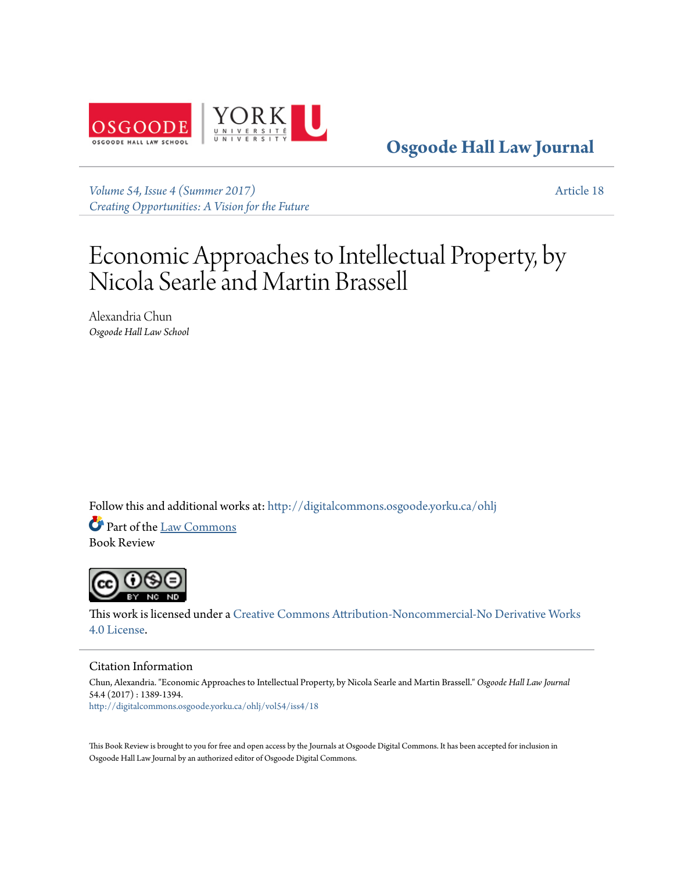

**[Osgoode Hall Law Journal](http://digitalcommons.osgoode.yorku.ca/ohlj?utm_source=digitalcommons.osgoode.yorku.ca%2Fohlj%2Fvol54%2Fiss4%2F18&utm_medium=PDF&utm_campaign=PDFCoverPages)**

*[Volume 54, Issue 4 \(Summer 2017\)](http://digitalcommons.osgoode.yorku.ca/ohlj/vol54/iss4?utm_source=digitalcommons.osgoode.yorku.ca%2Fohlj%2Fvol54%2Fiss4%2F18&utm_medium=PDF&utm_campaign=PDFCoverPages) [Creating Opportunities: A Vision for the Future](http://digitalcommons.osgoode.yorku.ca/ohlj/vol54/iss4?utm_source=digitalcommons.osgoode.yorku.ca%2Fohlj%2Fvol54%2Fiss4%2F18&utm_medium=PDF&utm_campaign=PDFCoverPages)* [Article 18](http://digitalcommons.osgoode.yorku.ca/ohlj/vol54/iss4/18?utm_source=digitalcommons.osgoode.yorku.ca%2Fohlj%2Fvol54%2Fiss4%2F18&utm_medium=PDF&utm_campaign=PDFCoverPages)

# Economic Approaches to Intellectual Property, by Nicola Searle and Martin Brassell

Alexandria Chun *Osgoode Hall Law School*

Follow this and additional works at: [http://digitalcommons.osgoode.yorku.ca/ohlj](http://digitalcommons.osgoode.yorku.ca/ohlj?utm_source=digitalcommons.osgoode.yorku.ca%2Fohlj%2Fvol54%2Fiss4%2F18&utm_medium=PDF&utm_campaign=PDFCoverPages)

Part of the [Law Commons](https://network.bepress.com/hgg/discipline/578?utm_source=digitalcommons.osgoode.yorku.ca%2Fohlj%2Fvol54%2Fiss4%2F18&utm_medium=PDF&utm_campaign=PDFCoverPages) Book Review



This work is licensed under a [Creative Commons Attribution-Noncommercial-No Derivative Works](http://creativecommons.org/licenses/by-nc-nd/4.0/) [4.0 License.](http://creativecommons.org/licenses/by-nc-nd/4.0/)

#### Citation Information

Chun, Alexandria. "Economic Approaches to Intellectual Property, by Nicola Searle and Martin Brassell." *Osgoode Hall Law Journal* 54.4 (2017) : 1389-1394. [http://digitalcommons.osgoode.yorku.ca/ohlj/vol54/iss4/18](http://digitalcommons.osgoode.yorku.ca/ohlj/vol54/iss4/18?utm_source=digitalcommons.osgoode.yorku.ca%2Fohlj%2Fvol54%2Fiss4%2F18&utm_medium=PDF&utm_campaign=PDFCoverPages)

This Book Review is brought to you for free and open access by the Journals at Osgoode Digital Commons. It has been accepted for inclusion in Osgoode Hall Law Journal by an authorized editor of Osgoode Digital Commons.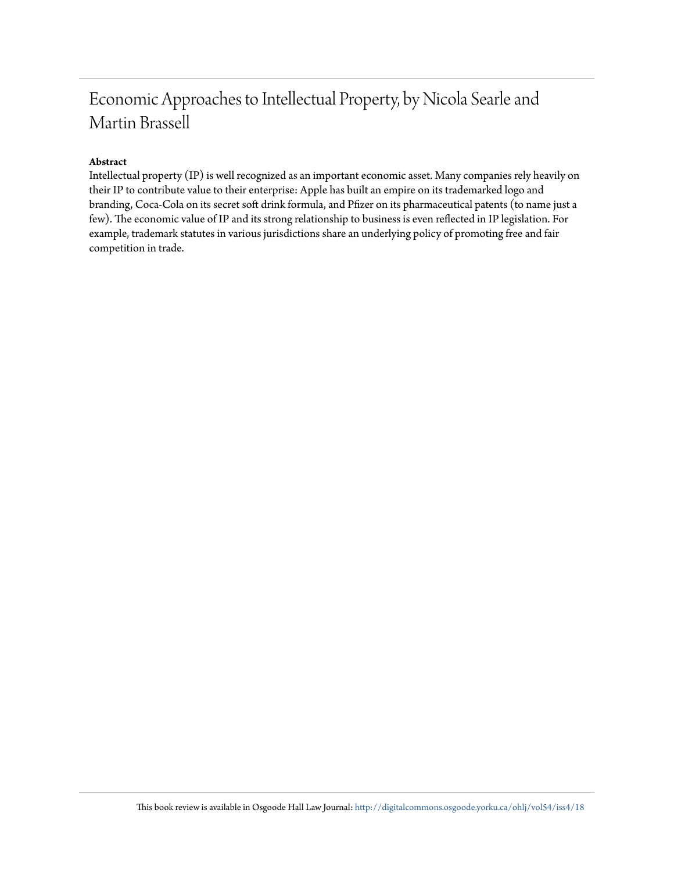# Economic Approaches to Intellectual Property, by Nicola Searle and Martin Brassell

### **Abstract**

Intellectual property (IP) is well recognized as an important economic asset. Many companies rely heavily on their IP to contribute value to their enterprise: Apple has built an empire on its trademarked logo and branding, Coca-Cola on its secret soft drink formula, and Pfizer on its pharmaceutical patents (to name just a few). The economic value of IP and its strong relationship to business is even reflected in IP legislation. For example, trademark statutes in various jurisdictions share an underlying policy of promoting free and fair competition in trade.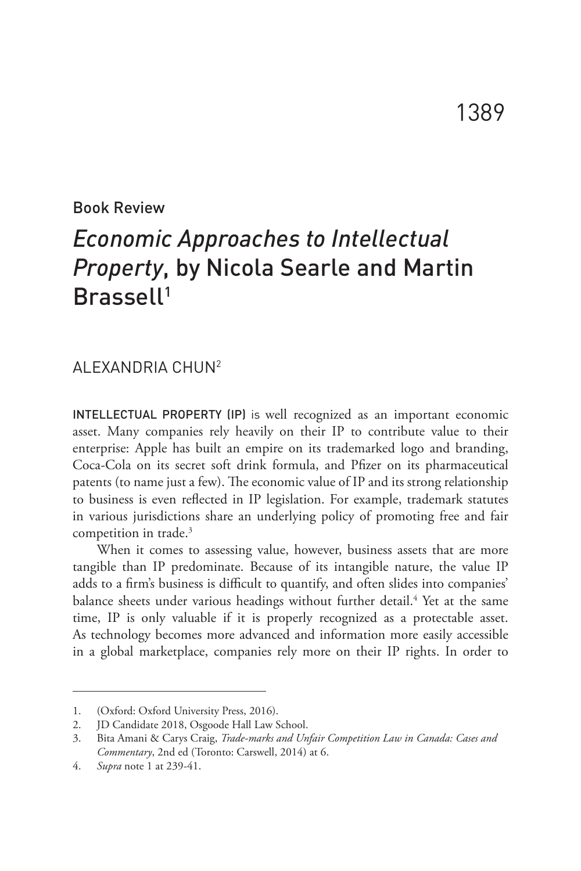#### Book Review

## *Economic Approaches to Intellectual Property*, by Nicola Searle and Martin Brassell1

### ALEXANDRIA CHUN2

INTELLECTUAL PROPERTY (IP) is well recognized as an important economic asset. Many companies rely heavily on their IP to contribute value to their enterprise: Apple has built an empire on its trademarked logo and branding, Coca-Cola on its secret soft drink formula, and Pfizer on its pharmaceutical patents (to name just a few). The economic value of IP and its strong relationship to business is even reflected in IP legislation. For example, trademark statutes in various jurisdictions share an underlying policy of promoting free and fair competition in trade.<sup>3</sup>

When it comes to assessing value, however, business assets that are more tangible than IP predominate. Because of its intangible nature, the value IP adds to a firm's business is difficult to quantify, and often slides into companies' balance sheets under various headings without further detail.<sup>4</sup> Yet at the same time, IP is only valuable if it is properly recognized as a protectable asset. As technology becomes more advanced and information more easily accessible in a global marketplace, companies rely more on their IP rights. In order to

<sup>1.</sup> (Oxford: Oxford University Press, 2016).

<sup>2.</sup> JD Candidate 2018, Osgoode Hall Law School.

<sup>3.</sup> Bita Amani & Carys Craig, *Trade-marks and Unfair Competition Law in Canada: Cases and Commentary*, 2nd ed (Toronto: Carswell, 2014) at 6.

<sup>4.</sup> *Supra* note 1 at 239-41.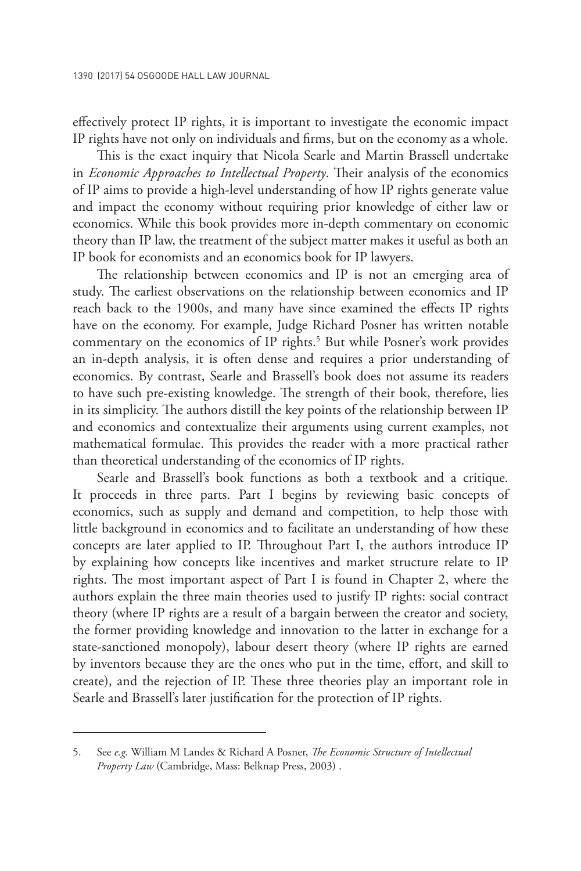effectively protect IP rights, it is important to investigate the economic impact IP rights have not only on individuals and firms, but on the economy as a whole.

This is the exact inquiry that Nicola Searle and Martin Brassell undertake in *Economic Approaches to Intellectual Property*. Their analysis of the economics of IP aims to provide a high-level understanding of how IP rights generate value and impact the economy without requiring prior knowledge of either law or economics. While this book provides more in-depth commentary on economic theory than IP law, the treatment of the subject matter makes it useful as both an IP book for economists and an economics book for IP lawyers.

The relationship between economics and IP is not an emerging area of study. The earliest observations on the relationship between economics and IP reach back to the 1900s, and many have since examined the effects IP rights have on the economy. For example, Judge Richard Posner has written notable commentary on the economics of IP rights.<sup>5</sup> But while Posner's work provides an in-depth analysis, it is often dense and requires a prior understanding of economics. By contrast, Searle and Brassell's book does not assume its readers to have such pre-existing knowledge. The strength of their book, therefore, lies in its simplicity. The authors distill the key points of the relationship between IP and economics and contextualize their arguments using current examples, not mathematical formulae. This provides the reader with a more practical rather than theoretical understanding of the economics of IP rights.

Searle and Brassell's book functions as both a textbook and a critique. It proceeds in three parts. Part I begins by reviewing basic concepts of economics, such as supply and demand and competition, to help those with little background in economics and to facilitate an understanding of how these concepts are later applied to IP. Throughout Part I, the authors introduce IP by explaining how concepts like incentives and market structure relate to IP rights. The most important aspect of Part I is found in Chapter 2, where the authors explain the three main theories used to justify IP rights: social contract theory (where IP rights are a result of a bargain between the creator and society, the former providing knowledge and innovation to the latter in exchange for a state-sanctioned monopoly), labour desert theory (where IP rights are earned by inventors because they are the ones who put in the time, effort, and skill to create), and the rejection of IP. These three theories play an important role in Searle and Brassell's later justification for the protection of IP rights.

<sup>5.</sup> See *e.g.* William M Landes & Richard A Posner, *The Economic Structure of Intellectual Property Law* (Cambridge, Mass: Belknap Press, 2003) .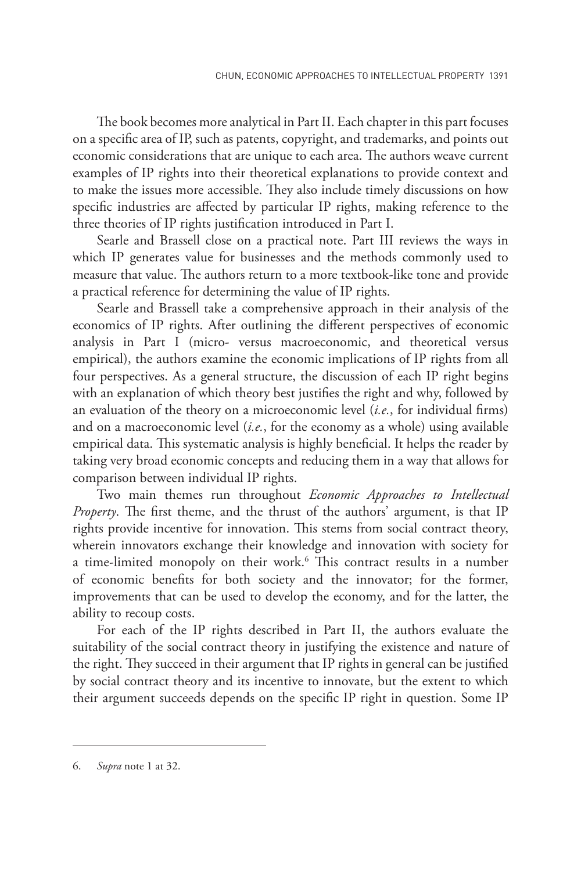The book becomes more analytical in Part II. Each chapter in this part focuses on a specific area of IP, such as patents, copyright, and trademarks, and points out economic considerations that are unique to each area. The authors weave current examples of IP rights into their theoretical explanations to provide context and to make the issues more accessible. They also include timely discussions on how specific industries are affected by particular IP rights, making reference to the three theories of IP rights justification introduced in Part I.

Searle and Brassell close on a practical note. Part III reviews the ways in which IP generates value for businesses and the methods commonly used to measure that value. The authors return to a more textbook-like tone and provide a practical reference for determining the value of IP rights.

Searle and Brassell take a comprehensive approach in their analysis of the economics of IP rights. After outlining the different perspectives of economic analysis in Part I (micro- versus macroeconomic, and theoretical versus empirical), the authors examine the economic implications of IP rights from all four perspectives. As a general structure, the discussion of each IP right begins with an explanation of which theory best justifies the right and why, followed by an evaluation of the theory on a microeconomic level (*i.e.*, for individual firms) and on a macroeconomic level (*i.e.*, for the economy as a whole) using available empirical data. This systematic analysis is highly beneficial. It helps the reader by taking very broad economic concepts and reducing them in a way that allows for comparison between individual IP rights.

Two main themes run throughout *Economic Approaches to Intellectual Property*. The first theme, and the thrust of the authors' argument, is that IP rights provide incentive for innovation. This stems from social contract theory, wherein innovators exchange their knowledge and innovation with society for a time-limited monopoly on their work.<sup>6</sup> This contract results in a number of economic benefits for both society and the innovator; for the former, improvements that can be used to develop the economy, and for the latter, the ability to recoup costs.

For each of the IP rights described in Part II, the authors evaluate the suitability of the social contract theory in justifying the existence and nature of the right. They succeed in their argument that IP rights in general can be justified by social contract theory and its incentive to innovate, but the extent to which their argument succeeds depends on the specific IP right in question. Some IP

<sup>6.</sup> *Supra* note 1 at 32.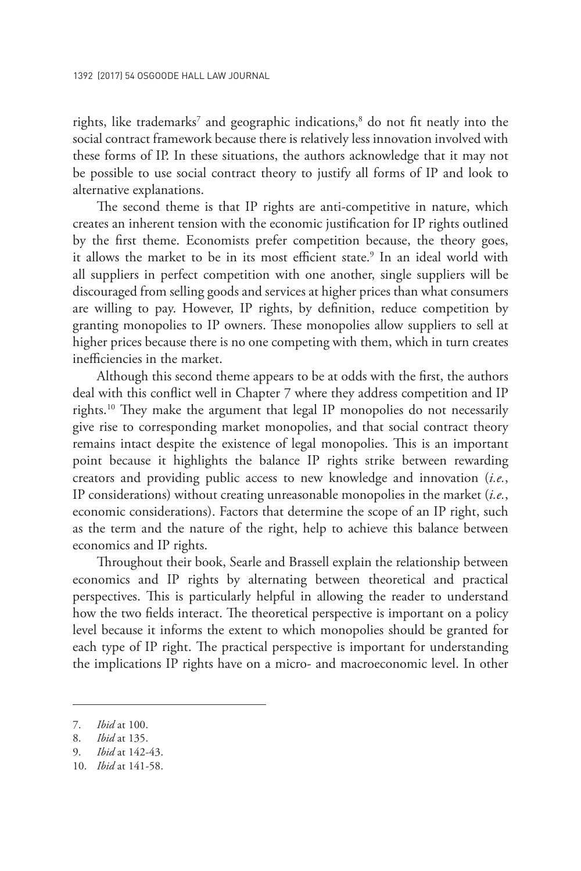rights, like trademarks<sup>7</sup> and geographic indications,<sup>8</sup> do not fit neatly into the social contract framework because there is relatively less innovation involved with these forms of IP. In these situations, the authors acknowledge that it may not be possible to use social contract theory to justify all forms of IP and look to alternative explanations.

The second theme is that IP rights are anti-competitive in nature, which creates an inherent tension with the economic justification for IP rights outlined by the first theme. Economists prefer competition because, the theory goes, it allows the market to be in its most efficient state.<sup>9</sup> In an ideal world with all suppliers in perfect competition with one another, single suppliers will be discouraged from selling goods and services at higher prices than what consumers are willing to pay. However, IP rights, by definition, reduce competition by granting monopolies to IP owners. These monopolies allow suppliers to sell at higher prices because there is no one competing with them, which in turn creates inefficiencies in the market.

Although this second theme appears to be at odds with the first, the authors deal with this conflict well in Chapter 7 where they address competition and IP rights.10 They make the argument that legal IP monopolies do not necessarily give rise to corresponding market monopolies, and that social contract theory remains intact despite the existence of legal monopolies. This is an important point because it highlights the balance IP rights strike between rewarding creators and providing public access to new knowledge and innovation (*i.e.*, IP considerations) without creating unreasonable monopolies in the market (*i.e.*, economic considerations). Factors that determine the scope of an IP right, such as the term and the nature of the right, help to achieve this balance between economics and IP rights.

Throughout their book, Searle and Brassell explain the relationship between economics and IP rights by alternating between theoretical and practical perspectives. This is particularly helpful in allowing the reader to understand how the two fields interact. The theoretical perspective is important on a policy level because it informs the extent to which monopolies should be granted for each type of IP right. The practical perspective is important for understanding the implications IP rights have on a micro- and macroeconomic level. In other

<sup>7.</sup> *Ibid* at 100.

<sup>8.</sup> *Ibid* at 135.

<sup>9.</sup> *Ibid* at 142-43.

<sup>10.</sup> *Ibid* at 141-58.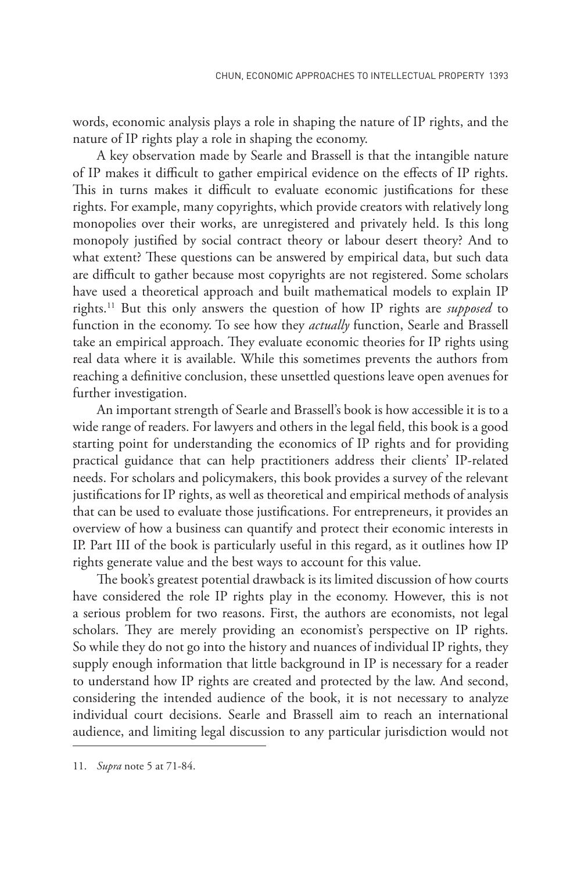words, economic analysis plays a role in shaping the nature of IP rights, and the nature of IP rights play a role in shaping the economy.

A key observation made by Searle and Brassell is that the intangible nature of IP makes it difficult to gather empirical evidence on the effects of IP rights. This in turns makes it difficult to evaluate economic justifications for these rights. For example, many copyrights, which provide creators with relatively long monopolies over their works, are unregistered and privately held. Is this long monopoly justified by social contract theory or labour desert theory? And to what extent? These questions can be answered by empirical data, but such data are difficult to gather because most copyrights are not registered. Some scholars have used a theoretical approach and built mathematical models to explain IP rights.11 But this only answers the question of how IP rights are *supposed* to function in the economy. To see how they *actually* function, Searle and Brassell take an empirical approach. They evaluate economic theories for IP rights using real data where it is available. While this sometimes prevents the authors from reaching a definitive conclusion, these unsettled questions leave open avenues for further investigation.

An important strength of Searle and Brassell's book is how accessible it is to a wide range of readers. For lawyers and others in the legal field, this book is a good starting point for understanding the economics of IP rights and for providing practical guidance that can help practitioners address their clients' IP-related needs. For scholars and policymakers, this book provides a survey of the relevant justifications for IP rights, as well as theoretical and empirical methods of analysis that can be used to evaluate those justifications. For entrepreneurs, it provides an overview of how a business can quantify and protect their economic interests in IP. Part III of the book is particularly useful in this regard, as it outlines how IP rights generate value and the best ways to account for this value.

The book's greatest potential drawback is its limited discussion of how courts have considered the role IP rights play in the economy. However, this is not a serious problem for two reasons. First, the authors are economists, not legal scholars. They are merely providing an economist's perspective on IP rights. So while they do not go into the history and nuances of individual IP rights, they supply enough information that little background in IP is necessary for a reader to understand how IP rights are created and protected by the law. And second, considering the intended audience of the book, it is not necessary to analyze individual court decisions. Searle and Brassell aim to reach an international audience, and limiting legal discussion to any particular jurisdiction would not

<sup>11.</sup> *Supra* note 5 at 71-84.